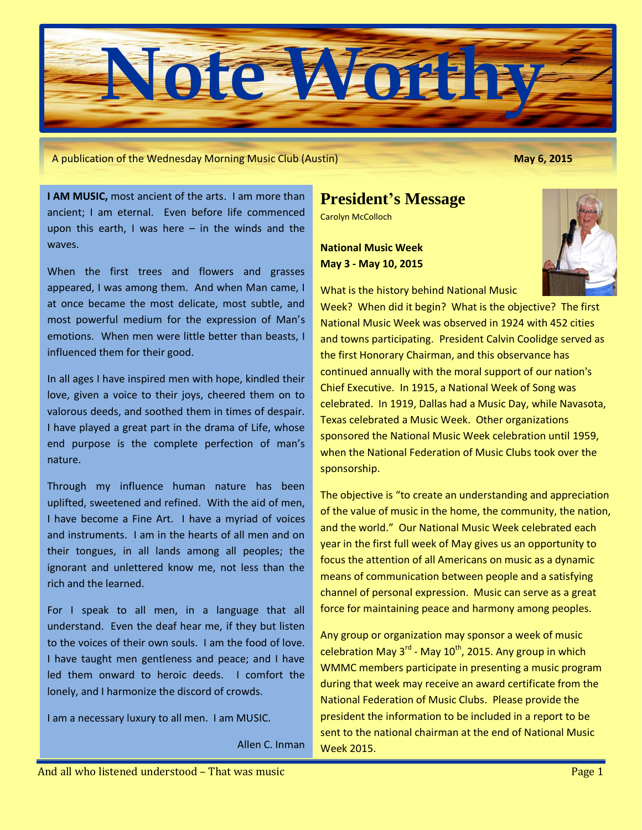

A publication of the Wednesday Morning Music Club (Austin) **May 6, 2015**

**I AM MUSIC,** most ancient of the arts. I am more than ancient; I am eternal. Even before life commenced upon this earth, I was here  $-$  in the winds and the waves.

When the first trees and flowers and grasses appeared, I was among them. And when Man came, I at once became the most delicate, most subtle, and most powerful medium for the expression of Man's emotions. When men were little better than beasts, I influenced them for their good.

In all ages I have inspired men with hope, kindled their love, given a voice to their joys, cheered them on to valorous deeds, and soothed them in times of despair. I have played a great part in the drama of Life, whose end purpose is the complete perfection of man's nature.

Through my influence human nature has been uplifted, sweetened and refined. With the aid of men, I have become a Fine Art. I have a myriad of voices and instruments. I am in the hearts of all men and on their tongues, in all lands among all peoples; the ignorant and unlettered know me, not less than the rich and the learned.

For I speak to all men, in a language that all understand. Even the deaf hear me, if they but listen to the voices of their own souls. I am the food of love. I have taught men gentleness and peace; and I have led them onward to heroic deeds. I comfort the lonely, and I harmonize the discord of crowds.

I am a necessary luxury to all men. I am MUSIC.

Allen C. Inman

## **President's Message**

Carolyn McColloch

**National Music Week May 3 - May 10, 2015**

What is the history behind National Music



Week? When did it begin? What is the objective? The first National Music Week was observed in 1924 with 452 cities and towns participating. President Calvin Coolidge served as the first Honorary Chairman, and this observance has continued annually with the moral support of our nation's Chief Executive. In 1915, a National Week of Song was celebrated. In 1919, Dallas had a Music Day, while Navasota, Texas celebrated a Music Week. Other organizations sponsored the National Music Week celebration until 1959, when the National Federation of Music Clubs took over the sponsorship.

The objective is "to create an understanding and appreciation of the value of music in the home, the community, the nation, and the world." Our National Music Week celebrated each year in the first full week of May gives us an opportunity to focus the attention of all Americans on music as a dynamic means of communication between people and a satisfying channel of personal expression. Music can serve as a great force for maintaining peace and harmony among peoples.

Any group or organization may sponsor a week of music celebration May 3<sup>rd</sup> - May 10<sup>th</sup>, 2015. Any group in which WMMC members participate in presenting a music program during that week may receive an award certificate from the National Federation of Music Clubs. Please provide the president the information to be included in a report to be sent to the national chairman at the end of National Music Week 2015.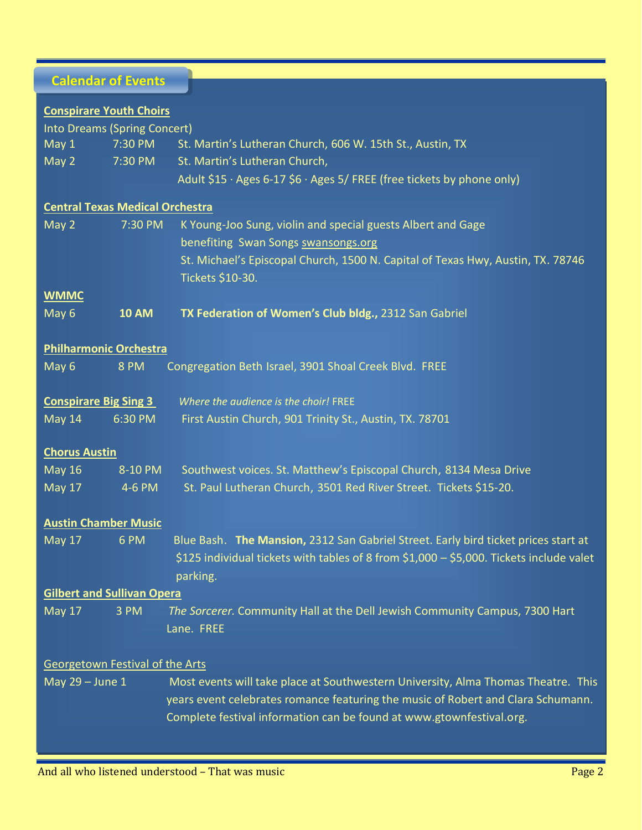# **Calendar of Events**

| <b>Conspirare Youth Choirs</b>         |                               |                                                                                         |
|----------------------------------------|-------------------------------|-----------------------------------------------------------------------------------------|
| Into Dreams (Spring Concert)           |                               |                                                                                         |
| May 1                                  | 7:30 PM                       | St. Martin's Lutheran Church, 606 W. 15th St., Austin, TX                               |
| May 2                                  | 7:30 PM                       | St. Martin's Lutheran Church,                                                           |
|                                        |                               | Adult \$15 · Ages 6-17 \$6 · Ages 5/ FREE (free tickets by phone only)                  |
| <b>Central Texas Medical Orchestra</b> |                               |                                                                                         |
| May 2                                  | 7:30 PM                       | K Young-Joo Sung, violin and special guests Albert and Gage                             |
|                                        |                               | benefiting Swan Songs swansongs.org                                                     |
|                                        |                               | St. Michael's Episcopal Church, 1500 N. Capital of Texas Hwy, Austin, TX. 78746         |
|                                        |                               | Tickets \$10-30.                                                                        |
| <b>WMMC</b>                            |                               |                                                                                         |
| May 6                                  | <b>10 AM</b>                  | TX Federation of Women's Club bldg., 2312 San Gabriel                                   |
|                                        |                               |                                                                                         |
|                                        | <b>Philharmonic Orchestra</b> |                                                                                         |
| May 6                                  | <b>8 PM</b>                   | Congregation Beth Israel, 3901 Shoal Creek Blvd. FREE                                   |
|                                        | <b>Conspirare Big Sing 3</b>  | Where the audience is the choir! FREE                                                   |
| May 14                                 | 6:30 PM                       | First Austin Church, 901 Trinity St., Austin, TX. 78701                                 |
|                                        |                               |                                                                                         |
| <b>Chorus Austin</b>                   |                               |                                                                                         |
| <b>May 16</b>                          | 8-10 PM                       | Southwest voices. St. Matthew's Episcopal Church, 8134 Mesa Drive                       |
| <b>May 17</b>                          | 4-6 PM                        | St. Paul Lutheran Church, 3501 Red River Street. Tickets \$15-20.                       |
|                                        | <b>Austin Chamber Music</b>   |                                                                                         |
| <b>May 17</b>                          | 6 PM                          | Blue Bash. The Mansion, 2312 San Gabriel Street. Early bird ticket prices start at      |
|                                        |                               | \$125 individual tickets with tables of 8 from \$1,000 - \$5,000. Tickets include valet |
|                                        |                               | parking.                                                                                |
| <b>Gilbert and Sullivan Opera</b>      |                               |                                                                                         |
| <b>May 17</b>                          | 3 PM                          | The Sorcerer. Community Hall at the Dell Jewish Community Campus, 7300 Hart             |
|                                        |                               | Lane. FREE                                                                              |
|                                        |                               |                                                                                         |
| Georgetown Festival of the Arts        |                               |                                                                                         |
| May 29 - June 1                        |                               | Most events will take place at Southwestern University, Alma Thomas Theatre. This       |
|                                        |                               | years event celebrates romance featuring the music of Robert and Clara Schumann.        |
|                                        |                               | Complete festival information can be found at www.gtownfestival.org.                    |
|                                        |                               |                                                                                         |